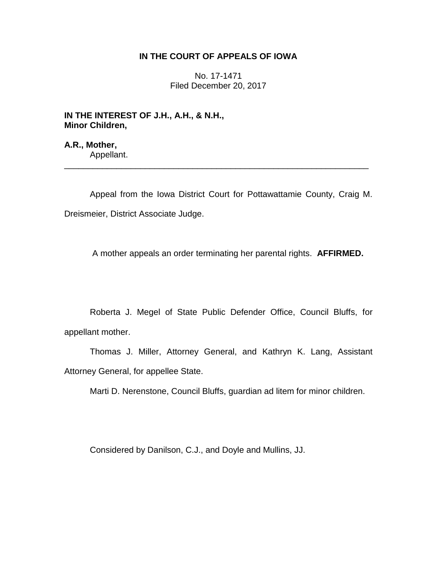## **IN THE COURT OF APPEALS OF IOWA**

No. 17-1471 Filed December 20, 2017

**IN THE INTEREST OF J.H., A.H., & N.H., Minor Children,**

**A.R., Mother,** Appellant.

Appeal from the Iowa District Court for Pottawattamie County, Craig M. Dreismeier, District Associate Judge.

\_\_\_\_\_\_\_\_\_\_\_\_\_\_\_\_\_\_\_\_\_\_\_\_\_\_\_\_\_\_\_\_\_\_\_\_\_\_\_\_\_\_\_\_\_\_\_\_\_\_\_\_\_\_\_\_\_\_\_\_\_\_\_\_

A mother appeals an order terminating her parental rights. **AFFIRMED.** 

Roberta J. Megel of State Public Defender Office, Council Bluffs, for appellant mother.

Thomas J. Miller, Attorney General, and Kathryn K. Lang, Assistant Attorney General, for appellee State.

Marti D. Nerenstone, Council Bluffs, guardian ad litem for minor children.

Considered by Danilson, C.J., and Doyle and Mullins, JJ.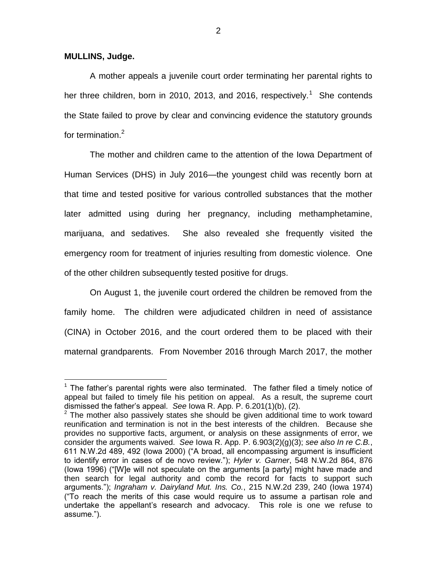## **MULLINS, Judge.**

 $\overline{a}$ 

A mother appeals a juvenile court order terminating her parental rights to her three children, born in 2010, 2013, and 2016, respectively.<sup>1</sup> She contends the State failed to prove by clear and convincing evidence the statutory grounds for termination. $2$ 

The mother and children came to the attention of the Iowa Department of Human Services (DHS) in July 2016—the youngest child was recently born at that time and tested positive for various controlled substances that the mother later admitted using during her pregnancy, including methamphetamine, marijuana, and sedatives. She also revealed she frequently visited the emergency room for treatment of injuries resulting from domestic violence. One of the other children subsequently tested positive for drugs.

On August 1, the juvenile court ordered the children be removed from the family home. The children were adjudicated children in need of assistance (CINA) in October 2016, and the court ordered them to be placed with their maternal grandparents. From November 2016 through March 2017, the mother

 $1$  The father's parental rights were also terminated. The father filed a timely notice of appeal but failed to timely file his petition on appeal. As a result, the supreme court dismissed the father's appeal. *See* Iowa R. App. P. 6.201(1)(b), (2).

 $2$  The mother also passively states she should be given additional time to work toward reunification and termination is not in the best interests of the children. Because she provides no supportive facts, argument, or analysis on these assignments of error, we consider the arguments waived. *See* Iowa R. App. P. 6.903(2)(g)(3); *see also In re C.B.*, 611 N.W.2d 489, 492 (Iowa 2000) ("A broad, all encompassing argument is insufficient to identify error in cases of de novo review."); *Hyler v. Garner*, 548 N.W.2d 864, 876 (Iowa 1996) ("[W]e will not speculate on the arguments [a party] might have made and then search for legal authority and comb the record for facts to support such arguments."); *Ingraham v. Dairyland Mut. Ins. Co.*, 215 N.W.2d 239, 240 (Iowa 1974) ("To reach the merits of this case would require us to assume a partisan role and undertake the appellant's research and advocacy. This role is one we refuse to assume.").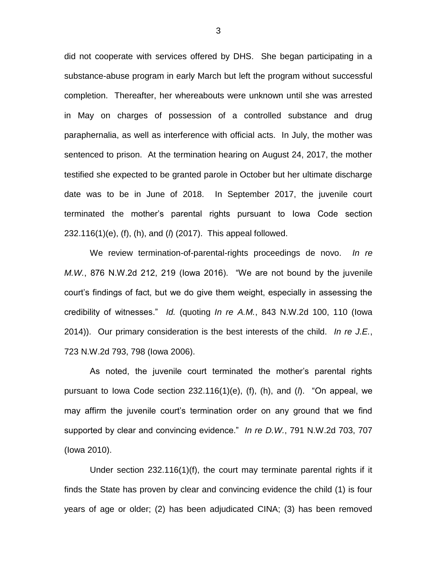did not cooperate with services offered by DHS. She began participating in a substance-abuse program in early March but left the program without successful completion. Thereafter, her whereabouts were unknown until she was arrested in May on charges of possession of a controlled substance and drug paraphernalia, as well as interference with official acts. In July, the mother was sentenced to prison. At the termination hearing on August 24, 2017, the mother testified she expected to be granted parole in October but her ultimate discharge date was to be in June of 2018. In September 2017, the juvenile court terminated the mother's parental rights pursuant to Iowa Code section 232.116(1)(e), (f), (h), and (*l*) (2017). This appeal followed.

We review termination-of-parental-rights proceedings de novo. *In re M.W.*, 876 N.W.2d 212, 219 (Iowa 2016). "We are not bound by the juvenile court's findings of fact, but we do give them weight, especially in assessing the credibility of witnesses." *Id.* (quoting *In re A.M.*, 843 N.W.2d 100, 110 (Iowa 2014)). Our primary consideration is the best interests of the child. *In re J.E.*, 723 N.W.2d 793, 798 (Iowa 2006).

As noted, the juvenile court terminated the mother's parental rights pursuant to Iowa Code section 232.116(1)(e), (f), (h), and (*l*). "On appeal, we may affirm the juvenile court's termination order on any ground that we find supported by clear and convincing evidence." *In re D.W.*, 791 N.W.2d 703, 707 (Iowa 2010).

Under section 232.116(1)(f), the court may terminate parental rights if it finds the State has proven by clear and convincing evidence the child (1) is four years of age or older; (2) has been adjudicated CINA; (3) has been removed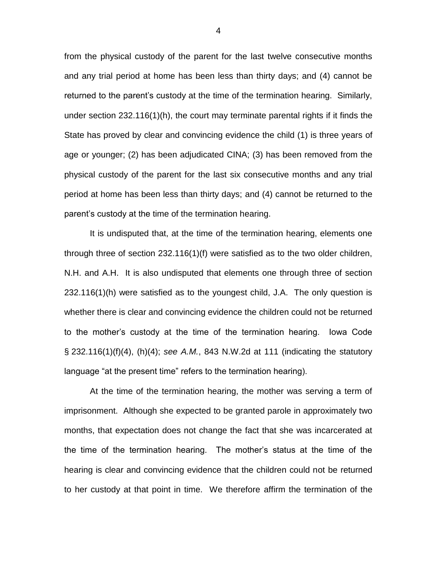from the physical custody of the parent for the last twelve consecutive months and any trial period at home has been less than thirty days; and (4) cannot be returned to the parent's custody at the time of the termination hearing. Similarly, under section 232.116(1)(h), the court may terminate parental rights if it finds the State has proved by clear and convincing evidence the child (1) is three years of age or younger; (2) has been adjudicated CINA; (3) has been removed from the physical custody of the parent for the last six consecutive months and any trial period at home has been less than thirty days; and (4) cannot be returned to the parent's custody at the time of the termination hearing.

It is undisputed that, at the time of the termination hearing, elements one through three of section 232.116(1)(f) were satisfied as to the two older children, N.H. and A.H. It is also undisputed that elements one through three of section 232.116(1)(h) were satisfied as to the youngest child, J.A. The only question is whether there is clear and convincing evidence the children could not be returned to the mother's custody at the time of the termination hearing. Iowa Code § 232.116(1)(f)(4), (h)(4); *see A.M.*, 843 N.W.2d at 111 (indicating the statutory language "at the present time" refers to the termination hearing).

At the time of the termination hearing, the mother was serving a term of imprisonment. Although she expected to be granted parole in approximately two months, that expectation does not change the fact that she was incarcerated at the time of the termination hearing. The mother's status at the time of the hearing is clear and convincing evidence that the children could not be returned to her custody at that point in time. We therefore affirm the termination of the